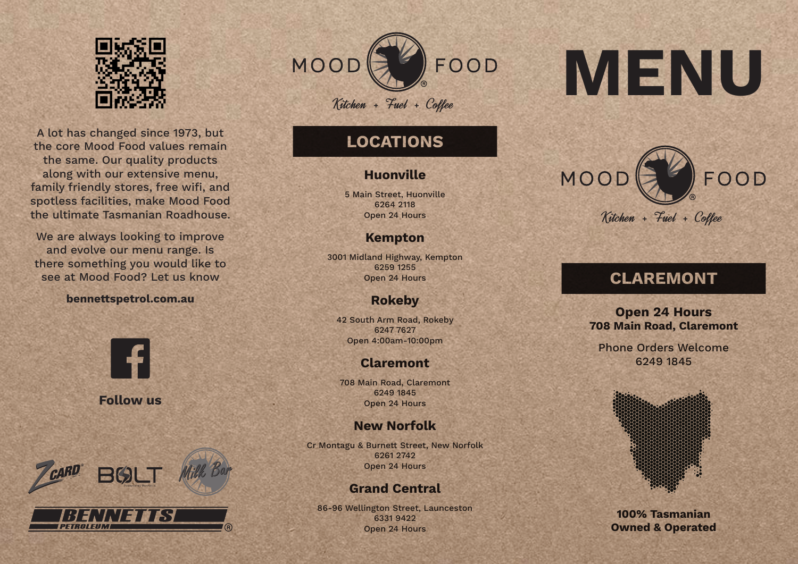

A lot has changed since 1973, but the core Mood Food values remain the same. Our quality products along with our extensive menu, family friendly stores, free wifi, and spotless facilities, make Mood Food the ultimate Tasmanian Roadhouse.

We are always looking to improve and evolve our menu range. Is there something you would like to see at Mood Food? Let us know

### **bennettspetrol.com.au**



**Follow us**



PETROLEUM



# **LOCATIONS**

## **Huonville**

5 Main Street, Huonville 6264 2118 Open 24 Hours

# **Kempton**

3001 Midland Highway, Kempton 6259 1255 Open 24 Hours

# **Rokeby**

42 South Arm Road, Rokeby 6247 7627 Open 4:00am-10:00pm

# **Claremont**

708 Main Road, Claremont 6249 1845 Open 24 Hours

# **New Norfolk**

Cr Montagu & Burnett Street, New Norfolk 6261 2742 Open 24 Hours

# **Grand Central**

86-96 Wellington Street, Launceston 6331 9422 Open 24 Hours

# **MENU**



# **CLAREMONT**

**Open 24 Hours 708 Main Road, Claremont**

Phone Orders Welcome 6249 1845



**100% Tasmanian Owned & Operated**